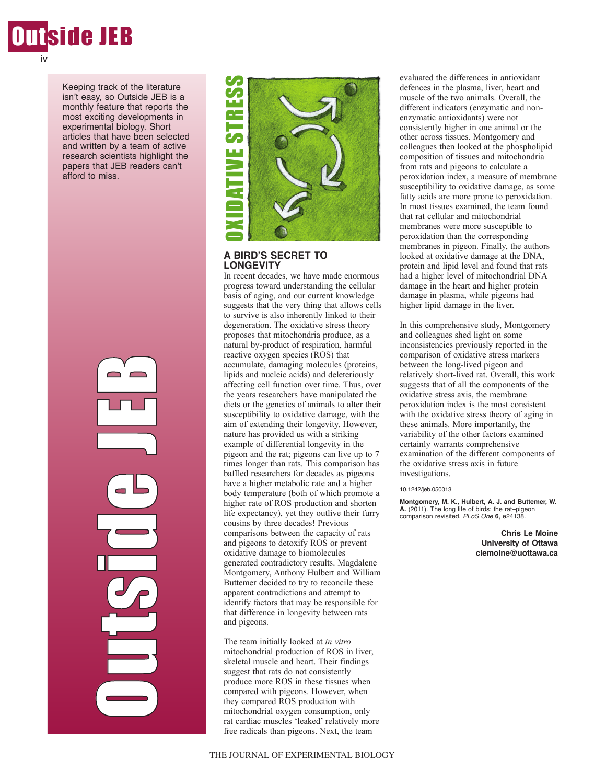

Keeping track of the literature isn't easy, so Outside JEB is a monthly feature that reports the most exciting developments in experimental biology. Short articles that have been selected and written by a team of active research scientists highlight the papers that JEB readers can't afford to miss.





## **A BIRD'S SECRET TO LONGEVITY**

In recent decades, we have made enormous progress toward understanding the cellular basis of aging, and our current knowledge suggests that the very thing that allows cells to survive is also inherently linked to their degeneration. The oxidative stress theory proposes that mitochondria produce, as a natural by-product of respiration, harmful reactive oxygen species (ROS) that accumulate, damaging molecules (proteins, lipids and nucleic acids) and deleteriously affecting cell function over time. Thus, over the years researchers have manipulated the diets or the genetics of animals to alter their susceptibility to oxidative damage, with the aim of extending their longevity. However, nature has provided us with a striking example of differential longevity in the pigeon and the rat; pigeons can live up to 7 times longer than rats. This comparison has baffled researchers for decades as pigeons have a higher metabolic rate and a higher body temperature (both of which promote a higher rate of ROS production and shorten life expectancy), yet they outlive their furry cousins by three decades! Previous comparisons between the capacity of rats and pigeons to detoxify ROS or prevent oxidative damage to biomolecules generated contradictory results. Magdalene Montgomery, Anthony Hulbert and William Buttemer decided to try to reconcile these apparent contradictions and attempt to identify factors that may be responsible for that difference in longevity between rats and pigeons. **EXPLORE THE STREET TO LATE AND THE STREET TO LATE AND A BIRD'S SECRET TO LONGEVITY<br>In recent decades, we have made enormol progress toward understanding the cellula suggests bat at our curve is also inherently linked to** 

The team initially looked at *in vitro* mitochondrial production of ROS in liver, skeletal muscle and heart. Their findings suggest that rats do not consistently produce more ROS in these tissues when compared with pigeons. However, when they compared ROS production with mitochondrial oxygen consumption, only rat cardiac muscles 'leaked' relatively more evaluated the differences in antioxidant defences in the plasma, liver, heart and muscle of the two animals. Overall, the different indicators (enzymatic and nonenzymatic antioxidants) were not consistently higher in one animal or the other across tissues. Montgomery and colleagues then looked at the phospholipid composition of tissues and mitochondria from rats and pigeons to calculate a peroxidation index, a measure of membrane susceptibility to oxidative damage, as some fatty acids are more prone to peroxidation. In most tissues examined, the team found that rat cellular and mitochondrial membranes were more susceptible to peroxidation than the corresponding membranes in pigeon. Finally, the authors looked at oxidative damage at the DNA, protein and lipid level and found that rats had a higher level of mitochondrial DNA damage in the heart and higher protein damage in plasma, while pigeons had higher lipid damage in the liver.

In this comprehensive study, Montgomery and colleagues shed light on some inconsistencies previously reported in the comparison of oxidative stress markers between the long-lived pigeon and relatively short-lived rat. Overall, this work suggests that of all the components of the oxidative stress axis, the membrane peroxidation index is the most consistent with the oxidative stress theory of aging in these animals. More importantly, the variability of the other factors examined certainly warrants comprehensive examination of the different components of the oxidative stress axis in future investigations.

### 10.1242/jeb.050013

**Montgomery, M. K., Hulbert, A. J. and Buttemer, W. A.** (2011). The long life of birds: the rat–pigeon comparison revisited. *PLoS One* **6**, e24138.

> **Chris Le Moine University of Ottawa clemoine@uottawa.ca**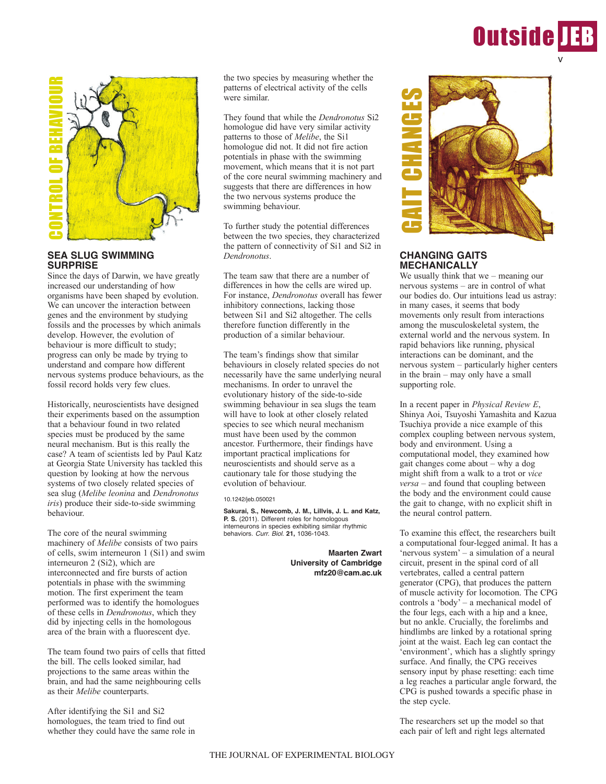# **Outside JEB** v



## **SEA SLUG SWIMMING SURPRISE**

Since the days of Darwin, we have greatly increased our understanding of how organisms have been shaped by evolution. We can uncover the interaction between genes and the environment by studying fossils and the processes by which animals develop. However, the evolution of behaviour is more difficult to study; progress can only be made by trying to understand and compare how different nervous systems produce behaviours, as the fossil record holds very few clues.

Historically, neuroscientists have designed their experiments based on the assumption that a behaviour found in two related species must be produced by the same neural mechanism. But is this really the case? A team of scientists led by Paul Katz at Georgia State University has tackled this question by looking at how the nervous systems of two closely related species of sea slug (*Melibe leonina* and *Dendronotus iris*) produce their side-to-side swimming behaviour.

The core of the neural swimming machinery of *Melibe* consists of two pairs of cells, swim interneuron 1 (Si1) and swim interneuron 2 (Si2), which are interconnected and fire bursts of action potentials in phase with the swimming motion. The first experiment the team performed was to identify the homologues of these cells in *Dendronotus*, which they did by injecting cells in the homologous area of the brain with a fluorescent dye.

The team found two pairs of cells that fitted the bill. The cells looked similar, had projections to the same areas within the brain, and had the same neighbouring cells as their *Melibe* counterparts.

After identifying the Si1 and Si2 homologues, the team tried to find out whether they could have the same role in the two species by measuring whether the patterns of electrical activity of the cells were similar.

They found that while the *Dendronotus* Si2 homologue did have very similar activity patterns to those of *Melibe*, the Si1 homologue did not. It did not fire action potentials in phase with the swimming movement, which means that it is not part of the core neural swimming machinery and suggests that there are differences in how the two nervous systems produce the swimming behaviour.

To further study the potential differences between the two species, they characterized the pattern of connectivity of Si1 and Si2 in *Dendronotus*.

The team saw that there are a number of differences in how the cells are wired up. For instance, *Dendronotus* overall has fewer inhibitory connections, lacking those between Si1 and Si2 altogether. The cells therefore function differently in the production of a similar behaviour.

The team's findings show that similar behaviours in closely related species do not necessarily have the same underlying neural mechanisms. In order to unravel the evolutionary history of the side-to-side swimming behaviour in sea slugs the team will have to look at other closely related species to see which neural mechanism must have been used by the common ancestor. Furthermore, their findings have important practical implications for neuroscientists and should serve as a cautionary tale for those studying the evolution of behaviour.

10.1242/jeb.050021

**Sakurai, S., Newcomb, J. M., Lillvis, J. L. and Katz, P. S.** (2011). Different roles for homologous interneurons in species exhibiting similar rhythmic behaviors. *Curr. Biol.* **21,** 1036-1043.

> **Maarten Zwart University of Cambridge mfz20@cam.ac.uk**



# **CHANGING GAITS MECHANICALLY**

We usually think that we – meaning our nervous systems – are in control of what our bodies do. Our intuitions lead us astray: in many cases, it seems that body movements only result from interactions among the musculoskeletal system, the external world and the nervous system. In rapid behaviors like running, physical interactions can be dominant, and the nervous system – particularly higher centers in the brain – may only have a small supporting role.

In a recent paper in *Physical Review E*, Shinya Aoi, Tsuyoshi Yamashita and Kazua Tsuchiya provide a nice example of this complex coupling between nervous system, body and environment. Using a computational model, they examined how gait changes come about – why a dog might shift from a walk to a trot or *vice versa* – and found that coupling between the body and the environment could cause the gait to change, with no explicit shift in the neural control pattern.

To examine this effect, the researchers built a computational four-legged animal. It has a 'nervous system' – a simulation of a neural circuit, present in the spinal cord of all vertebrates, called a central pattern generator (CPG), that produces the pattern of muscle activity for locomotion. The CPG controls a 'body' – a mechanical model of the four legs, each with a hip and a knee, but no ankle. Crucially, the forelimbs and hindlimbs are linked by a rotational spring joint at the waist. Each leg can contact the 'environment', which has a slightly springy surface. And finally, the CPG receives sensory input by phase resetting: each time a leg reaches a particular angle forward, the CPG is pushed towards a specific phase in the step cycle.

The researchers set up the model so that each pair of left and right legs alternated